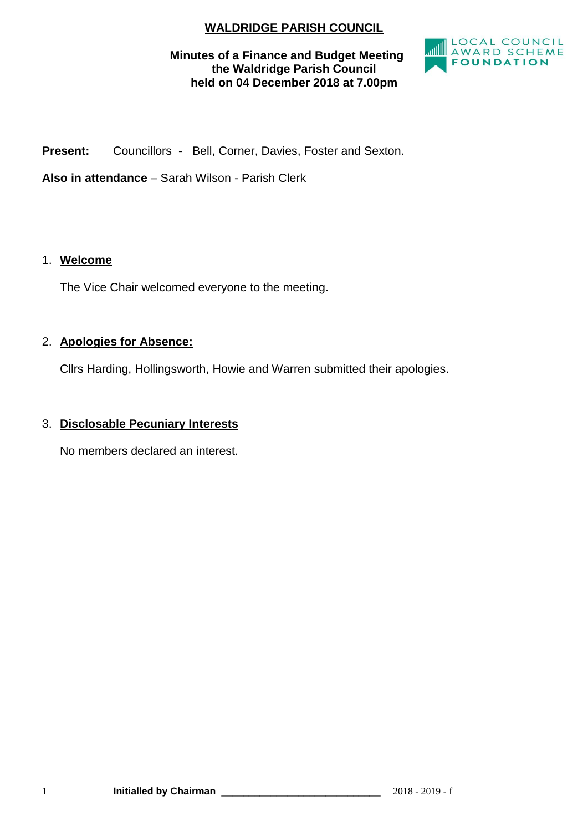# **WALDRIDGE PARISH COUNCIL**

## **Minutes of a Finance and Budget Meeting the Waldridge Parish Council held on 04 December 2018 at 7.00pm**



**Present:** Councillors - Bell, Corner, Davies, Foster and Sexton.

**Also in attendance** – Sarah Wilson - Parish Clerk

### 1. **Welcome**

The Vice Chair welcomed everyone to the meeting.

### 2. **Apologies for Absence:**

Cllrs Harding, Hollingsworth, Howie and Warren submitted their apologies.

## 3. **Disclosable Pecuniary Interests**

No members declared an interest.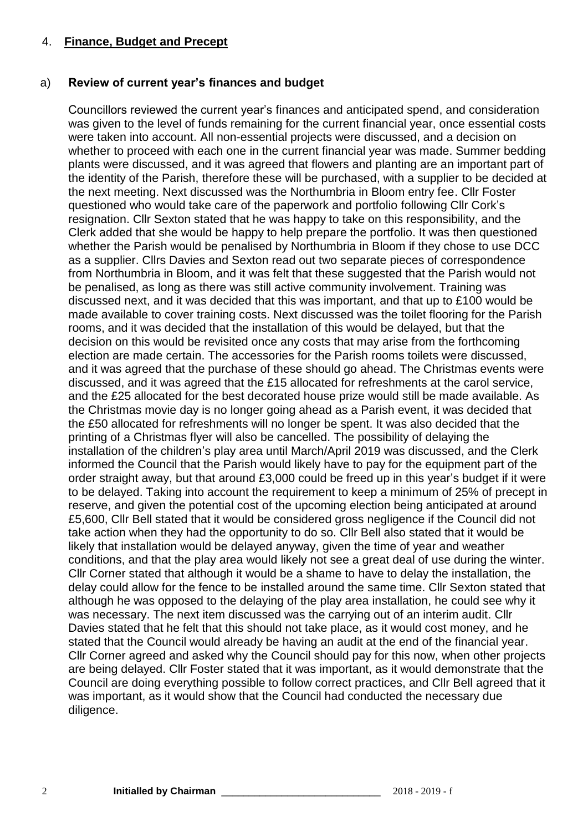#### 4. **Finance, Budget and Precept**

#### a) **Review of current year's finances and budget**

Councillors reviewed the current year's finances and anticipated spend, and consideration was given to the level of funds remaining for the current financial year, once essential costs were taken into account. All non-essential projects were discussed, and a decision on whether to proceed with each one in the current financial year was made. Summer bedding plants were discussed, and it was agreed that flowers and planting are an important part of the identity of the Parish, therefore these will be purchased, with a supplier to be decided at the next meeting. Next discussed was the Northumbria in Bloom entry fee. Cllr Foster questioned who would take care of the paperwork and portfolio following Cllr Cork's resignation. Cllr Sexton stated that he was happy to take on this responsibility, and the Clerk added that she would be happy to help prepare the portfolio. It was then questioned whether the Parish would be penalised by Northumbria in Bloom if they chose to use DCC as a supplier. Cllrs Davies and Sexton read out two separate pieces of correspondence from Northumbria in Bloom, and it was felt that these suggested that the Parish would not be penalised, as long as there was still active community involvement. Training was discussed next, and it was decided that this was important, and that up to £100 would be made available to cover training costs. Next discussed was the toilet flooring for the Parish rooms, and it was decided that the installation of this would be delayed, but that the decision on this would be revisited once any costs that may arise from the forthcoming election are made certain. The accessories for the Parish rooms toilets were discussed, and it was agreed that the purchase of these should go ahead. The Christmas events were discussed, and it was agreed that the £15 allocated for refreshments at the carol service, and the £25 allocated for the best decorated house prize would still be made available. As the Christmas movie day is no longer going ahead as a Parish event, it was decided that the £50 allocated for refreshments will no longer be spent. It was also decided that the printing of a Christmas flyer will also be cancelled. The possibility of delaying the installation of the children's play area until March/April 2019 was discussed, and the Clerk informed the Council that the Parish would likely have to pay for the equipment part of the order straight away, but that around £3,000 could be freed up in this year's budget if it were to be delayed. Taking into account the requirement to keep a minimum of 25% of precept in reserve, and given the potential cost of the upcoming election being anticipated at around £5,600, Cllr Bell stated that it would be considered gross negligence if the Council did not take action when they had the opportunity to do so. Cllr Bell also stated that it would be likely that installation would be delayed anyway, given the time of year and weather conditions, and that the play area would likely not see a great deal of use during the winter. Cllr Corner stated that although it would be a shame to have to delay the installation, the delay could allow for the fence to be installed around the same time. Cllr Sexton stated that although he was opposed to the delaying of the play area installation, he could see why it was necessary. The next item discussed was the carrying out of an interim audit. Cllr Davies stated that he felt that this should not take place, as it would cost money, and he stated that the Council would already be having an audit at the end of the financial year. Cllr Corner agreed and asked why the Council should pay for this now, when other projects are being delayed. Cllr Foster stated that it was important, as it would demonstrate that the Council are doing everything possible to follow correct practices, and Cllr Bell agreed that it was important, as it would show that the Council had conducted the necessary due diligence.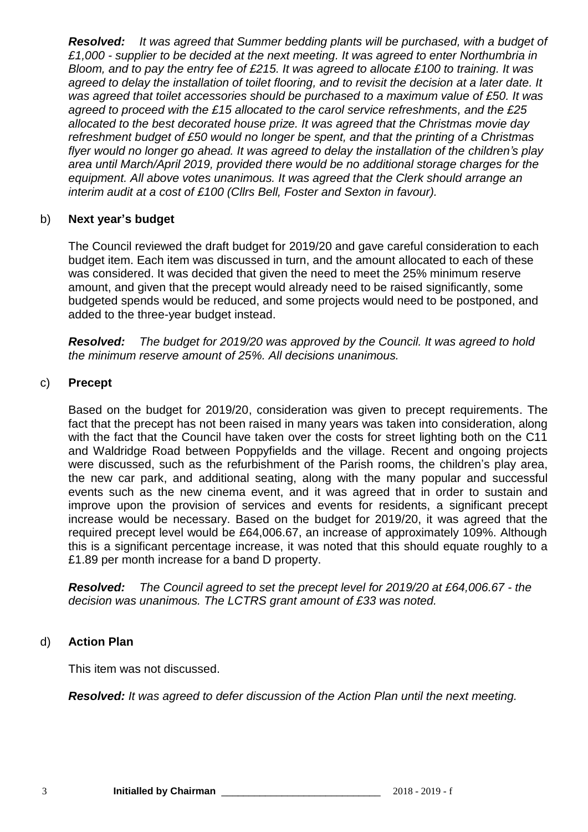*Resolved: It was agreed that Summer bedding plants will be purchased, with a budget of £1,000 - supplier to be decided at the next meeting. It was agreed to enter Northumbria in Bloom, and to pay the entry fee of £215. It was agreed to allocate £100 to training. It was agreed to delay the installation of toilet flooring, and to revisit the decision at a later date. It was agreed that toilet accessories should be purchased to a maximum value of £50. It was agreed to proceed with the £15 allocated to the carol service refreshments, and the £25 allocated to the best decorated house prize. It was agreed that the Christmas movie day refreshment budget of £50 would no longer be spent, and that the printing of a Christmas flyer would no longer go ahead. It was agreed to delay the installation of the children's play area until March/April 2019, provided there would be no additional storage charges for the equipment. All above votes unanimous. It was agreed that the Clerk should arrange an interim audit at a cost of £100 (Cllrs Bell, Foster and Sexton in favour).*

#### b) **Next year's budget**

The Council reviewed the draft budget for 2019/20 and gave careful consideration to each budget item. Each item was discussed in turn, and the amount allocated to each of these was considered. It was decided that given the need to meet the 25% minimum reserve amount, and given that the precept would already need to be raised significantly, some budgeted spends would be reduced, and some projects would need to be postponed, and added to the three-year budget instead.

*Resolved: The budget for 2019/20 was approved by the Council. It was agreed to hold the minimum reserve amount of 25%. All decisions unanimous.* 

#### c) **Precept**

Based on the budget for 2019/20, consideration was given to precept requirements. The fact that the precept has not been raised in many years was taken into consideration, along with the fact that the Council have taken over the costs for street lighting both on the C11 and Waldridge Road between Poppyfields and the village. Recent and ongoing projects were discussed, such as the refurbishment of the Parish rooms, the children's play area, the new car park, and additional seating, along with the many popular and successful events such as the new cinema event, and it was agreed that in order to sustain and improve upon the provision of services and events for residents, a significant precept increase would be necessary. Based on the budget for 2019/20, it was agreed that the required precept level would be £64,006.67, an increase of approximately 109%. Although this is a significant percentage increase, it was noted that this should equate roughly to a £1.89 per month increase for a band D property.

*Resolved: The Council agreed to set the precept level for 2019/20 at £64,006.67 - the decision was unanimous. The LCTRS grant amount of £33 was noted.*

## d) **Action Plan**

This item was not discussed.

*Resolved: It was agreed to defer discussion of the Action Plan until the next meeting.*